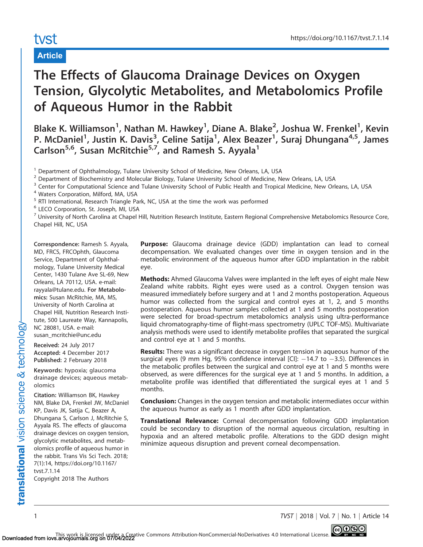# tyst

## Article

# The Effects of Glaucoma Drainage Devices on Oxygen Tension, Glycolytic Metabolites, and Metabolomics Profile of Aqueous Humor in the Rabbit

Blake K. Williamson<sup>1</sup>, Nathan M. Hawkey<sup>1</sup>, Diane A. Blake<sup>2</sup>, Joshua W. Frenkel<sup>1</sup>, Kevin P. McDaniel<sup>1</sup>, Justin K. Davis<sup>3</sup>, Celine Satija<sup>1</sup>, Alex Beazer<sup>1</sup>, Suraj Dhungana<sup>4,5</sup>, James Carlson<sup>5,6</sup>, Susan McRitchie<sup>5,7</sup>, and Ramesh S. Ayyala<sup>1</sup>

<sup>6</sup> LECO Corporation, St. Joseph, MI, USA

<sup>7</sup> University of North Carolina at Chapel Hill, Nutrition Research Institute, Eastern Regional Comprehensive Metabolomics Resource Core, Chapel Hill, NC, USA

Correspondence: Ramesh S. Ayyala, MD, FRCS, FRCOphth, Glaucoma Service, Department of Ophthalmology, Tulane University Medical Center, 1430 Tulane Ave SL-69, New Orleans, LA 70112, USA. e-mail: rayyala@tulane.edu. For Metabolomics: Susan McRitchie, MA, MS, University of North Carolina at Chapel Hill, Nutrition Research Institute, 500 Laureate Way, Kannapolis, NC 28081, USA. e-mail: susan\_mcritchie@unc.edu

Received: 24 July 2017 Accepted: 4 December 2017 Published: 2 February 2018

Keywords: hypoxia; glaucoma drainage devices; aqueous metabolomics

Citation: Williamson BK, Hawkey NM, Blake DA, Frenkel JW, McDaniel KP, Davis JK, Satija C, Beazer A, Dhungana S, Carlson J, McRitchie S, Ayyala RS. The effects of glaucoma drainage devices on oxygen tension, glycolytic metabolites, and metabolomics profile of aqueous humor in the rabbit. Trans Vis Sci Tech. 2018; 7(1):14, https://doi.org/10.1167/ tvst.7.1.14 Copyright 2018 The Authors

Purpose: Glaucoma drainage device (GDD) implantation can lead to corneal decompensation. We evaluated changes over time in oxygen tension and in the metabolic environment of the aqueous humor after GDD implantation in the rabbit eye.

**Methods:** Ahmed Glaucoma Valves were implanted in the left eyes of eight male New Zealand white rabbits. Right eyes were used as a control. Oxygen tension was measured immediately before surgery and at 1 and 2 months postoperation. Aqueous humor was collected from the surgical and control eyes at 1, 2, and 5 months postoperation. Aqueous humor samples collected at 1 and 5 months postoperation were selected for broad-spectrum metabolomics analysis using ultra-performance liquid chromatography-time of flight-mass spectrometry (UPLC TOF-MS). Multivariate analysis methods were used to identify metabolite profiles that separated the surgical and control eye at 1 and 5 months.

**Results:** There was a significant decrease in oxygen tension in aqueous humor of the surgical eyes (9 mm Hg, 95% confidence interval [CI]:  $-14.7$  to  $-3.5$ ). Differences in the metabolic profiles between the surgical and control eye at 1 and 5 months were observed, as were differences for the surgical eye at 1 and 5 months. In addition, a metabolite profile was identified that differentiated the surgical eyes at 1 and 5 months.

**Conclusion:** Changes in the oxygen tension and metabolic intermediates occur within the aqueous humor as early as 1 month after GDD implantation.

Translational Relevance: Corneal decompensation following GDD implantation could be secondary to disruption of the normal aqueous circulation, resulting in hypoxia and an altered metabolic profile. Alterations to the GDD design might minimize aqueous disruption and prevent corneal decompensation.

1 TVST | 2018 | Vol. 7 | No. 1 | Article 14

<sup>&</sup>lt;sup>1</sup> Department of Ophthalmology, Tulane University School of Medicine, New Orleans, LA, USA

<sup>&</sup>lt;sup>2</sup> Department of Biochemistry and Molecular Biology, Tulane University School of Medicine, New Orleans, LA, USA

<sup>&</sup>lt;sup>3</sup> Center for Computational Science and Tulane University School of Public Health and Tropical Medicine, New Orleans, LA, USA

<sup>4</sup> Waters Corporation, Milford, MA, USA

<sup>&</sup>lt;sup>5</sup> RTI International, Research Triangle Park, NC, USA at the time the work was performed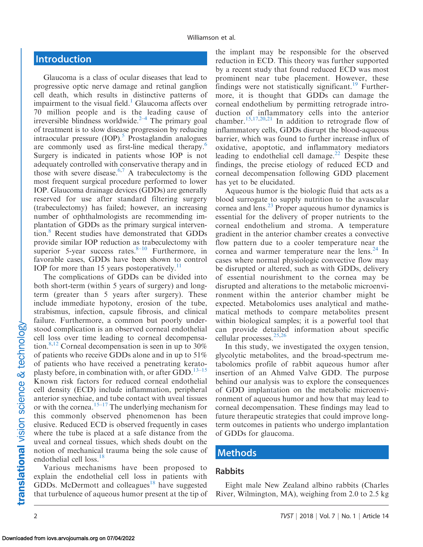# Introduction

Glaucoma is a class of ocular diseases that lead to progressive optic nerve damage and retinal ganglion cell death, which results in distinctive patterns of impairment to the visual field.<sup>1</sup> Glaucoma affects over 70 million people and is the leading cause of irreversible blindness worldwide. $2-4$  The primary goal of treatment is to slow disease progression by reducing intraocular pressure  $(IOP)$ .<sup>5</sup> Prostaglandin analogues are commonly used as first-line medical therapy.<sup>6</sup> Surgery is indicated in patients whose IOP is not adequately controlled with conservative therapy and in those with severe disease.<sup>6,7</sup> A trabeculectomy is the most frequent surgical procedure performed to lower IOP. Glaucoma drainage devices (GDDs) are generally reserved for use after standard filtering surgery (trabeculectomy) has failed; however, an increasing number of ophthalmologists are recommending implantation of GDDs as the primary surgical intervention[.8](#page-11-0) Recent studies have demonstrated that GDDs provide similar IOP reduction as trabeculectomy with superior 5-year success rates. $8-10$  $8-10$  Furthermore, in favorable cases, GDDs have been shown to control IOP for more than 15 years postoperatively.<sup>11</sup>

The complications of GDDs can be divided into both short-term (within 5 years of surgery) and longterm (greater than 5 years after surgery). These include immediate hypotony, erosion of the tube, strabismus, infection, capsule fibrosis, and clinical failure. Furthermore, a common but poorly understood complication is an observed corneal endothelial cell loss over time leading to corneal decompensa-tion.<sup>8,[12](#page-12-0)</sup> Corneal decompensation is seen in up to  $30\%$ of patients who receive GDDs alone and in up to 51% of patients who have received a penetrating keratoplasty before, in combination with, or after GDD. $^{13-15}$ Known risk factors for reduced corneal endothelial cell density (ECD) include inflammation, peripheral anterior synechiae, and tube contact with uveal tissues or with the cornea.<sup>[15–17](#page-12-0)</sup> The underlying mechanism for this commonly observed phenomenon has been elusive. Reduced ECD is observed frequently in cases where the tube is placed at a safe distance from the uveal and corneal tissues, which sheds doubt on the notion of mechanical trauma being the sole cause of endothelial cell loss.<sup>18</sup>

Various mechanisms have been proposed to explain the endothelial cell loss in patients with GDDs. McDermott and colleagues<sup>[18](#page-12-0)</sup> have suggested that turbulence of aqueous humor present at the tip of the implant may be responsible for the observed reduction in ECD. This theory was further supported by a recent study that found reduced ECD was most prominent near tube placement. However, these findings were not statistically significant.<sup>[19](#page-12-0)</sup> Furthermore, it is thought that GDDs can damage the corneal endothelium by permitting retrograde introduction of inflammatory cells into the anterior chamber[.15](#page-12-0),[17,20](#page-12-0),[21](#page-12-0) In addition to retrograde flow of inflammatory cells, GDDs disrupt the blood-aqueous barrier, which was found to further increase influx of oxidative, apoptotic, and inflammatory mediators leading to endothelial cell damage.<sup>22</sup> Despite these findings, the precise etiology of reduced ECD and corneal decompensation following GDD placement has yet to be elucidated.

Aqueous humor is the biologic fluid that acts as a blood surrogate to supply nutrition to the avascular cornea and lens[.23](#page-12-0) Proper aqueous humor dynamics is essential for the delivery of proper nutrients to the corneal endothelium and stroma. A temperature gradient in the anterior chamber creates a convective flow pattern due to a cooler temperature near the cornea and warmer temperature near the lens. $^{24}$  In cases where normal physiologic convective flow may be disrupted or altered, such as with GDDs, delivery of essential nourishment to the cornea may be disrupted and alterations to the metabolic microenvironment within the anterior chamber might be expected. Metabolomics uses analytical and mathematical methods to compare metabolites present within biological samples; it is a powerful tool that can provide detailed information about specific cellular processes. $25,26$ 

In this study, we investigated the oxygen tension, glycolytic metabolites, and the broad-spectrum metabolomics profile of rabbit aqueous humor after insertion of an Ahmed Valve GDD. The purpose behind our analysis was to explore the consequences of GDD implantation on the metabolic microenvironment of aqueous humor and how that may lead to corneal decompensation. These findings may lead to future therapeutic strategies that could improve longterm outcomes in patients who undergo implantation of GDDs for glaucoma.

#### Methods

#### Rabbits

Eight male New Zealand albino rabbits (Charles River, Wilmington, MA), weighing from 2.0 to 2.5 kg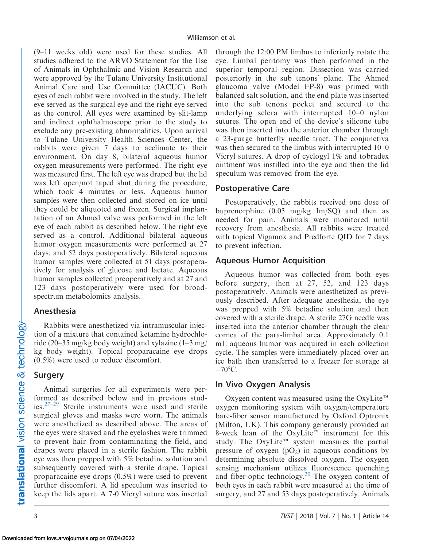(9–11 weeks old) were used for these studies. All studies adhered to the ARVO Statement for the Use of Animals in Ophthalmic and Vision Research and were approved by the Tulane University Institutional Animal Care and Use Committee (IACUC). Both eyes of each rabbit were involved in the study. The left eye served as the surgical eye and the right eye served as the control. All eyes were examined by slit-lamp and indirect ophthalmoscope prior to the study to exclude any pre-existing abnormalities. Upon arrival to Tulane University Health Sciences Center, the rabbits were given 7 days to acclimate to their environment. On day 8, bilateral aqueous humor oxygen measurements were performed. The right eye was measured first. The left eye was draped but the lid was left open/not taped shut during the procedure, which took 4 minutes or less. Aqueous humor samples were then collected and stored on ice until they could be aliquoted and frozen. Surgical implantation of an Ahmed valve was performed in the left eye of each rabbit as described below. The right eye served as a control. Additional bilateral aqueous humor oxygen measurements were performed at 27 days, and 52 days postoperatively. Bilateral aqueous humor samples were collected at 51 days postoperatively for analysis of glucose and lactate. Aqueous humor samples collected preoperatively and at 27 and 123 days postoperatively were used for broadspectrum metabolomics analysis.

#### Anesthesia

Rabbits were anesthetized via intramuscular injection of a mixture that contained ketamine hydrochloride (20–35 mg/kg body weight) and xylazine (1–3 mg/ kg body weight). Topical proparacaine eye drops (0.5%) were used to reduce discomfort.

## Surgery

Animal surgeries for all experiments were performed as described below and in previous studies. $27-29$  Sterile instruments were used and sterile surgical gloves and masks were worn. The animals were anesthetized as described above. The areas of the eyes were shaved and the eyelashes were trimmed to prevent hair from contaminating the field, and drapes were placed in a sterile fashion. The rabbit eye was then prepped with 5% betadine solution and subsequently covered with a sterile drape. Topical proparacaine eye drops (0.5%) were used to prevent further discomfort. A lid speculum was inserted to keep the lids apart. A 7-0 Vicryl suture was inserted

through the 12:00 PM limbus to inferiorly rotate the eye. Limbal peritomy was then performed in the superior temporal region. Dissection was carried posteriorly in the sub tenons' plane. The Ahmed glaucoma valve (Model FP-8) was primed with balanced salt solution, and the end plate was inserted into the sub tenons pocket and secured to the underlying sclera with interrupted 10–0 nylon sutures. The open end of the device's silicone tube was then inserted into the anterior chamber through a 23-guage butterfly needle tract. The conjunctiva was then secured to the limbus with interrupted 10–0 Vicryl sutures. A drop of cyclogyl 1% and tobradex ointment was instilled into the eye and then the lid speculum was removed from the eye.

#### Postoperative Care

Postoperatively, the rabbits received one dose of buprenorphine  $(0.03 \text{ mg/kg} \text{Im/SQ})$  and then as needed for pain. Animals were monitored until recovery from anesthesia. All rabbits were treated with topical Vigamox and Predforte QID for 7 days to prevent infection.

#### Aqueous Humor Acquisition

Aqueous humor was collected from both eyes before surgery, then at 27, 52, and 123 days postoperatively. Animals were anesthetized as previously described. After adequate anesthesia, the eye was prepped with 5% betadine solution and then covered with a sterile drape. A sterile 27G needle was inserted into the anterior chamber through the clear cornea of the para-limbal area. Approximately 0.1 mL aqueous humor was acquired in each collection cycle. The samples were immediately placed over an ice bath then transferred to a freezer for storage at  $-70^{\circ}$ C.

## In Vivo Oxygen Analysis

Oxygen content was measured using the OxyLite<sup> $m$ </sup> oxygen monitoring system with oxygen/temperature bare-fiber sensor manufactured by Oxford Optronix (Milton, UK). This company generously provided an 8-week loan of the OxyLite<sup> $m$ </sup> instrument for this study. The OxyLite<sup> $m$ </sup> system measures the partial pressure of oxygen  $(pO<sub>2</sub>)$  in aqueous conditions by determining absolute dissolved oxygen. The oxygen sensing mechanism utilizes fluorescence quenching and fiber-optic technology. $30$  The oxygen content of both eyes in each rabbit were measured at the time of surgery, and 27 and 53 days postoperatively. Animals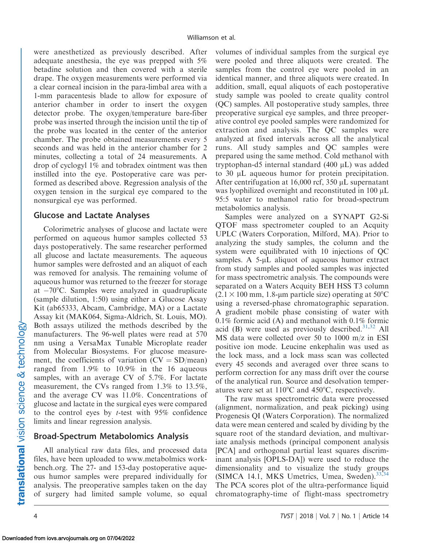were anesthetized as previously described. After adequate anesthesia, the eye was prepped with 5% betadine solution and then covered with a sterile drape. The oxygen measurements were performed via a clear corneal incision in the para-limbal area with a 1-mm paracentesis blade to allow for exposure of anterior chamber in order to insert the oxygen detector probe. The oxygen/temperature bare-fiber probe was inserted through the incision until the tip of the probe was located in the center of the anterior chamber. The probe obtained measurements every 5 seconds and was held in the anterior chamber for 2 minutes, collecting a total of 24 measurements. A drop of cyclogyl 1% and tobradex ointment was then instilled into the eye. Postoperative care was performed as described above. Regression analysis of the oxygen tension in the surgical eye compared to the nonsurgical eye was performed.

#### Glucose and Lactate Analyses

Colorimetric analyses of glucose and lactate were performed on aqueous humor samples collected 53 days postoperatively. The same researcher performed all glucose and lactate measurements. The aqueous humor samples were defrosted and an aliquot of each was removed for analysis. The remaining volume of aqueous humor was returned to the freezer for storage at -70°C. Samples were analyzed in quadruplicate (sample dilution, 1:50) using either a Glucose Assay Kit (ab65333, Abcam, Cambridge, MA) or a Lactate Assay kit (MAK064, Sigma-Aldrich, St. Louis, MO). Both assays utilized the methods described by the manufacturers. The 96-well plates were read at 570 nm using a VersaMax Tunable Microplate reader from Molecular Biosystems. For glucose measurement, the coefficients of variation  $(CV = SD/mean)$ ranged from 1.9% to 10.9% in the 16 aqueous samples, with an average CV of 5.7%. For lactate measurement, the CVs ranged from 1.3% to 13.5%, and the average CV was 11.0%. Concentrations of glucose and lactate in the surgical eyes were compared to the control eyes by  $t$ -test with 95% confidence limits and linear regression analysis.

#### Broad-Spectrum Metabolomics Analysis

All analytical raw data files, and processed data files, have been uploaded to www.metabolmics workbench.org. The 27- and 153-day postoperative aqueous humor samples were prepared individually for analysis. The preoperative samples taken on the day of surgery had limited sample volume, so equal volumes of individual samples from the surgical eye were pooled and three aliquots were created. The samples from the control eye were pooled in an identical manner, and three aliquots were created. In addition, small, equal aliquots of each postoperative study sample was pooled to create quality control (QC) samples. All postoperative study samples, three preoperative surgical eye samples, and three preoperative control eye pooled samples were randomized for extraction and analysis. The QC samples were analyzed at fixed intervals across all the analytical runs. All study samples and QC samples were prepared using the same method. Cold methanol with tryptophan-d5 internal standard  $(400 \mu L)$  was added to  $30 \mu L$  aqueous humor for protein precipitation. After centrifugation at  $16,000$  rcf,  $350 \mu L$  supernatant was lyophilized overnight and reconstituted in  $100 \mu L$ 95:5 water to methanol ratio for broad-spectrum metabolomics analysis.

Samples were analyzed on a SYNAPT G2-Si QTOF mass spectrometer coupled to an Acquity UPLC (Waters Corporation, Milford, MA). Prior to analyzing the study samples, the column and the system were equilibrated with 10 injections of QC samples. A  $5-\mu L$  aliquot of aqueous humor extract from study samples and pooled samples was injected for mass spectrometric analysis. The compounds were separated on a Waters Acquity BEH HSS T3 column  $(2.1 \times 100 \text{ mm}, 1.8$ -µm particle size) operating at 50<sup>o</sup>C using a reversed-phase chromatographic separation. A gradient mobile phase consisting of water with 0.1% formic acid (A) and methanol with 0.1% formic acid (B) were used as previously described. $31,32$  All MS data were collected over 50 to 1000 m/z in ESI positive ion mode. Leucine enkephalin was used as the lock mass, and a lock mass scan was collected every 45 seconds and averaged over three scans to perform correction for any mass drift over the course of the analytical run. Source and desolvation temperatures were set at  $110^{\circ}$ C and  $450^{\circ}$ C, respectively.

The raw mass spectrometric data were processed (alignment, normalization, and peak picking) using Progenesis QI (Waters Corporation). The normalized data were mean centered and scaled by dividing by the square root of the standard deviation, and multivariate analysis methods (principal component analysis [PCA] and orthogonal partial least squares discriminant analysis [OPLS-DA]) were used to reduce the dimensionality and to visualize the study groups (SIMCA 14.1, MKS Umetrics, Umea, Sweden). $33,34$ The PCA scores plot of the ultra-performance liquid chromatography-time of flight-mass spectrometry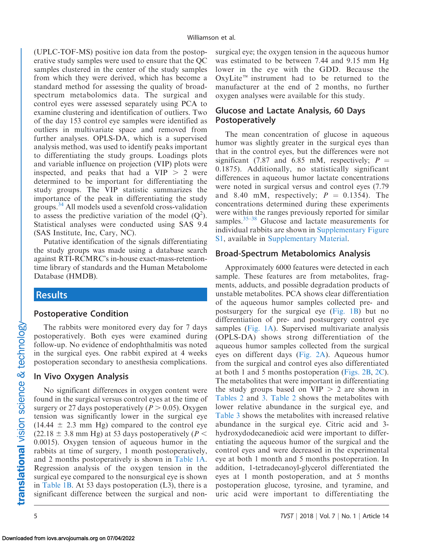(UPLC-TOF-MS) positive ion data from the postoperative study samples were used to ensure that the QC samples clustered in the center of the study samples from which they were derived, which has become a standard method for assessing the quality of broadspectrum metabolomics data. The surgical and control eyes were assessed separately using PCA to examine clustering and identification of outliers. Two of the day 153 control eye samples were identified as outliers in multivariate space and removed from further analyses. OPLS-DA, which is a supervised analysis method, was used to identify peaks important to differentiating the study groups. Loadings plots and variable influence on projection (VIP) plots were inspected, and peaks that had a  $VIP > 2$  were determined to be important for differentiating the study groups. The VIP statistic summarizes the importance of the peak in differentiating the study groups[.34](#page-12-0) All models used a sevenfold cross-validation to assess the predictive variation of the model  $(Q^2)$ . Statistical analyses were conducted using SAS 9.4 (SAS Institute, Inc, Cary, NC).

Putative identification of the signals differentiating the study groups was made using a database search against RTI-RCMRC's in-house exact-mass-retentiontime library of standards and the Human Metabolome Database (HMDB).

## Results

## Postoperative Condition

The rabbits were monitored every day for 7 days postoperatively. Both eyes were examined during follow-up. No evidence of endophthalmitis was noted in the surgical eyes. One rabbit expired at 4 weeks postoperation secondary to anesthesia complications.

#### In Vivo Oxygen Analysis

No significant differences in oxygen content were found in the surgical versus control eyes at the time of surgery or 27 days postoperatively ( $P > 0.05$ ). Oxygen tension was significantly lower in the surgical eye  $(14.44 \pm 2.3 \text{ mm Hg})$  compared to the control eye  $(22.18 \pm 3.8 \text{ mm Hg})$  at 53 days postoperatively (P < 0.0015). Oxygen tension of aqueous humor in the rabbits at time of surgery, 1 month postoperatively, and 2 months postoperatively is shown in [Table 1A](#page-5-0). Regression analysis of the oxygen tension in the surgical eye compared to the nonsurgical eye is shown in [Table 1B.](#page-5-0) At 53 days postoperation (L3), there is a significant difference between the surgical and non-

surgical eye; the oxygen tension in the aqueous humor was estimated to be between 7.44 and 9.15 mm Hg lower in the eye with the GDD. Because the OxyLite<sup> $m$ </sup> instrument had to be returned to the manufacturer at the end of 2 months, no further oxygen analyses were available for this study.

### Glucose and Lactate Analysis, 60 Days Postoperatively

The mean concentration of glucose in aqueous humor was slightly greater in the surgical eyes than that in the control eyes, but the differences were not significant (7.87 and 6.85 mM, respectively;  $P =$ 0.1875). Additionally, no statistically significant differences in aqueous humor lactate concentrations were noted in surgical versus and control eyes (7.79 and 8.40 mM, respectively;  $P = 0.1354$ . The concentrations determined during these experiments were within the ranges previously reported for similar samples.<sup>[35–38](#page-13-0)</sup> Glucose and lactate measurements for individual rabbits are shown in Supplementary Figure S1, available in Supplementary Material.

#### Broad-Spectrum Metabolomics Analysis

Approximately 6000 features were detected in each sample. These features are from metabolites, fragments, adducts, and possible degradation products of unstable metabolites. PCA shows clear differentiation of the aqueous humor samples collected pre- and postsurgery for the surgical eye [\(Fig. 1B](#page-6-0)) but no differentiation of pre- and postsurgery control eye samples ([Fig. 1A\)](#page-6-0). Supervised multivariate analysis (OPLS-DA) shows strong differentiation of the aqueous humor samples collected from the surgical eyes on different days ([Fig. 2A](#page-7-0)). Aqueous humor from the surgical and control eyes also differentiated at both 1 and 5 months postoperation [\(Figs. 2B,](#page-7-0) [2C](#page-7-0)). The metabolites that were important in differentiating the study groups based on  $VIP > 2$  are shown in [Tables 2](#page-8-0) and [3.](#page-10-0) [Table 2](#page-8-0) shows the metabolites with lower relative abundance in the surgical eye, and [Table 3](#page-10-0) shows the metabolites with increased relative abundance in the surgical eye. Citric acid and 3 hydroxydodecanedioic acid were important to differentiating the aqueous humor of the surgical and the control eyes and were decreased in the experimental eye at both 1 month and 5 months postoperation. In addition, 1-tetradecanoyl-glycerol differentiated the eyes at 1 month postoperation, and at 5 months postoperation glucose, tyrosine, and tyramine, and uric acid were important to differentiating the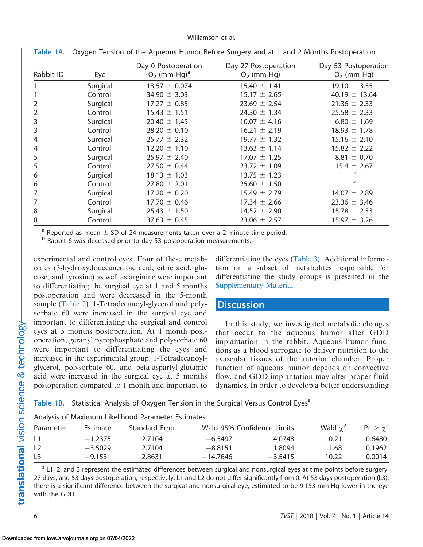#### Williamson et al.

| Rabbit ID | Eye      | Day 0 Postoperation<br>$O2$ (mm Hg) <sup>a</sup> | Day 27 Postoperation<br>$O2$ (mm Hg) | Day 53 Postoperation<br>$O2$ (mm Hg) |
|-----------|----------|--------------------------------------------------|--------------------------------------|--------------------------------------|
|           | Surgical | $13.57 \pm 0.074$                                | $15.40 \pm 1.41$                     | $19.10 \pm 3.55$                     |
|           | Control  | 34.90 $\pm$ 3.03                                 | $15.17 \pm 2.65$                     | 40.19 $\pm$ 13.64                    |
| 2         | Surgical | $17.27 \pm 0.85$                                 | $23.69 \pm 2.54$                     | $21.36 \pm 2.33$                     |
| 2         | Control  | $15.43 \pm 1.51$                                 | $24.30 \pm 1.34$                     | $25.58 \pm 2.33$                     |
| 3         | Surgical | $20.40 \pm 1.45$                                 | $10.07 \pm 4.16$                     | $6.80 \pm 1.69$                      |
| 3         | Control  | $28.20 \pm 0.10$                                 | $16.21 \pm 2.19$                     | $18.93 \pm 1.78$                     |
| 4         | Surgical | $25.77 \pm 2.32$                                 | $19.77 \pm 1.32$                     | $15.16 \pm 2.10$                     |
| 4         | Control  | $12.20 \pm 1.10$                                 | $13.63 \pm 1.14$                     | $15.82 \pm 2.22$                     |
| 5         | Surgical | $25.97 \pm 2.40$                                 | $17.07 \pm 1.25$                     | $8.81 \pm 0.70$                      |
| 5         | Control  | $27.50 \pm 0.44$                                 | $23.72 \pm 1.09$                     | $15.4 \pm 2.67$                      |
| 6         | Surgical | $18.13 \pm 1.03$                                 | $13.75 \pm 1.23$                     | b                                    |
| 6         | Control  | $27.80 \pm 2.01$                                 | $25.60 \pm 1.50$                     | b                                    |
| 7         | Surgical | $17.20 \pm 0.20$                                 | $15.49 \pm 2.79$                     | $14.07 \pm 2.89$                     |
| 7         | Control  | $17.70 \pm 0.46$                                 | $17.34 \pm 2.66$                     | $23.36 \pm 3.46$                     |
| 8         | Surgical | $25.43 \pm 1.50$                                 | $14.52 \pm 2.90$                     | $15.78 \pm 2.33$                     |
| 8         | Control  | $37.63 \pm 0.45$                                 | $23.06 \pm 2.57$                     | $15.97 \pm 3.26$                     |

<span id="page-5-0"></span>Table 1A. Oxygen Tension of the Aqueous Humor Before Surgery and at 1 and 2 Months Postoperation

<sup>a</sup> Reported as mean  $\pm$  SD of 24 measurements taken over a 2-minute time period.

 $<sup>b</sup>$  Rabbit 6 was deceased prior to day 53 postoperation measurements.</sup>

experimental and control eyes. Four of these metabolites (3-hydroxydodecanedioic acid, citric acid, glucose, and tyrosine) as well as arginine were important to differentiating the surgical eye at 1 and 5 months postoperation and were decreased in the 5-month sample ([Table 2](#page-8-0)). 1-Tetradecanoyl-glycerol and polysorbate 60 were increased in the surgical eye and important to differentiating the surgical and control eyes at 5 months postoperation. At 1 month postoperation, geranyl pyrophosphate and polysorbate 60 were important to differentiating the eyes and increased in the experimental group. 1-Tetradecanoylglycerol, polysorbate 60, and beta-aspartyl-glutamic acid were increased in the surgical eye at 5 months postoperation compared to 1 month and important to

differentiating the eyes [\(Table 3](#page-10-0)). Additional information on a subset of metabolites responsible for differentiating the study groups is presented in the Supplementary Material.

## **Discussion**

In this study, we investigated metabolic changes that occur to the aqueous humor after GDD implantation in the rabbit. Aqueous humor functions as a blood surrogate to deliver nutrition to the avascular tissues of the anterior chamber. Proper function of aqueous humor depends on convective flow, and GDD implantation may alter proper fluid dynamics. In order to develop a better understanding

Table 1B. Statistical Analysis of Oxygen Tension in the Surgical Versus Control Eyes<sup>a</sup>

| .                                 |        |            |                            |       |               |  |  |  |
|-----------------------------------|--------|------------|----------------------------|-------|---------------|--|--|--|
| <b>Standard Error</b><br>Estimate |        |            | Wald 95% Confidence Limits |       |               |  |  |  |
| $-1.2375$                         | 2.7104 | $-6.5497$  | 4.0748                     | 0.21  | 0.6480        |  |  |  |
| $-3.5029$                         | 2.7104 | $-8.8151$  | 1.8094                     | 1.68  | 0.1962        |  |  |  |
| $-9.153$                          | 2.8631 | $-14.7646$ | $-3.5415$                  | 10.22 | 0.0014        |  |  |  |
|                                   |        |            |                            |       | Wald $\chi^2$ |  |  |  |

Analysis of Maximum Likelihood Parameter Estimates

<sup>a</sup> L1, 2, and 3 represent the estimated differences between surgical and nonsurgical eyes at time points before surgery, 27 days, and 53 days postoperation, respectively. L1 and L2 do not differ significantly from 0. At 53 days postoperation (L3), there is a significant difference between the surgical and nonsurgical eye, estimated to be 9.153 mm Hg lower in the eye with the GDD.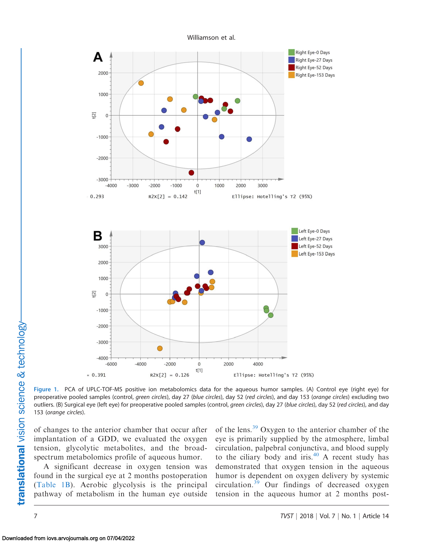<span id="page-6-0"></span>

Figure 1. PCA of UPLC-TOF-MS positive ion metabolomics data for the aqueous humor samples. (A) Control eye (right eye) for preoperative pooled samples (control, green circles), day 27 (blue circles), day 52 (red circles), and day 153 (orange circles) excluding two outliers. (B) Surgical eye (left eye) for preoperative pooled samples (control, green circles), day 27 (blue circles), day 52 (red circles), and day 153 (orange circles).

of changes to the anterior chamber that occur after implantation of a GDD, we evaluated the oxygen tension, glycolytic metabolites, and the broadspectrum metabolomics profile of aqueous humor.

A significant decrease in oxygen tension was found in the surgical eye at 2 months postoperation ([Table 1B\)](#page-5-0). Aerobic glycolysis is the principal pathway of metabolism in the human eye outside of the lens.[39](#page-13-0) Oxygen to the anterior chamber of the eye is primarily supplied by the atmosphere, limbal circulation, palpebral conjunctiva, and blood supply to the ciliary body and iris.<sup>[40](#page-13-0)</sup> A recent study has demonstrated that oxygen tension in the aqueous humor is dependent on oxygen delivery by systemic circulation.[39](#page-13-0) Our findings of decreased oxygen tension in the aqueous humor at 2 months post-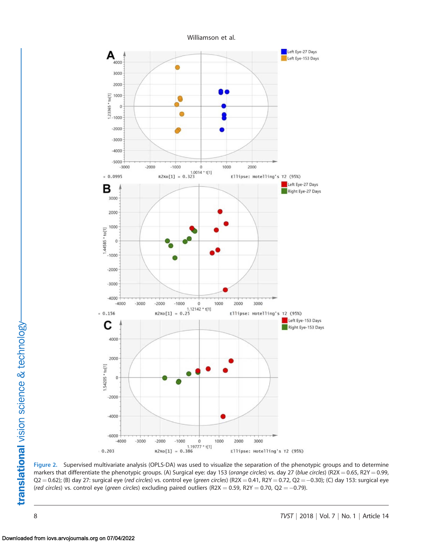

<span id="page-7-0"></span>

Figure 2. Supervised multivariate analysis (OPLS-DA) was used to visualize the separation of the phenotypic groups and to determine markers that differentiate the phenotypic groups. (A) Surgical eye: day 153 (orange circles) vs. day 27 (blue circles) (R2X = 0.65, R2Y = 0.99,  $\mathsf{Q2}\!=\!0.62$ ); (B) day 27: surgical eye (red circles) vs. control eye (green circles) (R2X  $=0.41$ , R2Y  $=0.72$ ,  $\mathsf{Q2}\!=\!-0.30$ ); (C) day 153: surgical eye (*red circles*) vs. control eye (*green circles*) excluding paired outliers (R2X  $=$  0.59, R2Y  $=$  0.70, Q2  $=$   $-$ 0.79).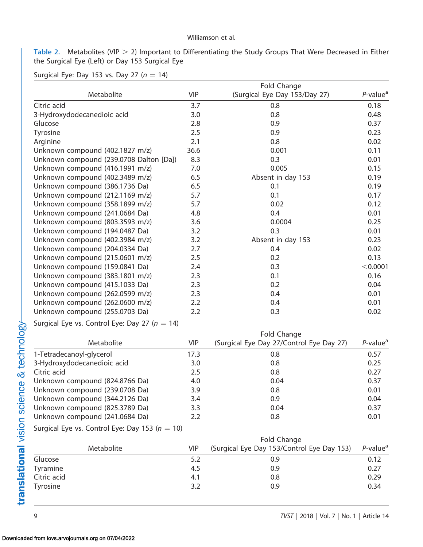#### Williamson et al.

<span id="page-8-0"></span>Table 2. Metabolites (VIP  $>$  2) Important to Differentiating the Study Groups That Were Decreased in Either the Surgical Eye (Left) or Day 153 Surgical Eye

Surgical Eye: Day 153 vs. Day 27 ( $n = 14$ )

|                                                    |            | Fold Change                                |                         |
|----------------------------------------------------|------------|--------------------------------------------|-------------------------|
| Metabolite                                         | <b>VIP</b> | (Surgical Eye Day 153/Day 27)              | $P$ -value <sup>a</sup> |
| Citric acid                                        | 3.7        | 0.8                                        | 0.18                    |
| 3-Hydroxydodecanedioic acid                        | 3.0        | 0.8                                        | 0.48                    |
| Glucose                                            | 2.8        | 0.9                                        | 0.37                    |
| Tyrosine                                           | 2.5        | 0.9                                        | 0.23                    |
| Arginine                                           | 2.1        | 0.8                                        | 0.02                    |
| Unknown compound (402.1827 m/z)                    | 36.6       | 0.001                                      | 0.11                    |
| Unknown compound (239.0708 Dalton [Da])            | 8.3        | 0.3                                        | 0.01                    |
| Unknown compound (416.1991 m/z)                    | 7.0        | 0.005                                      | 0.15                    |
| Unknown compound (402.3489 m/z)                    | 6.5        | Absent in day 153                          | 0.19                    |
| Unknown compound (386.1736 Da)                     | 6.5        | 0.1                                        | 0.19                    |
| Unknown compound (212.1169 m/z)                    | 5.7        | 0.1                                        | 0.17                    |
| Unknown compound (358.1899 m/z)                    | 5.7        | 0.02                                       | 0.12                    |
| Unknown compound (241.0684 Da)                     | 4.8        | 0.4                                        | 0.01                    |
| Unknown compound (803.3593 m/z)                    | 3.6        | 0.0004                                     | 0.25                    |
| Unknown compound (194.0487 Da)                     | 3.2        | 0.3                                        | 0.01                    |
| Unknown compound (402.3984 m/z)                    | 3.2        | Absent in day 153                          | 0.23                    |
| Unknown compound (204.0334 Da)                     | 2.7        | 0.4                                        | 0.02                    |
| Unknown compound (215.0601 m/z)                    | 2.5        | 0.2                                        | 0.13                    |
| Unknown compound (159.0841 Da)                     | 2.4        | 0.3                                        | < 0.0001                |
| Unknown compound (383.1801 m/z)                    | 2.3        | 0.1                                        | 0.16                    |
| Unknown compound (415.1033 Da)                     | 2.3        | 0.2                                        | 0.04                    |
| Unknown compound (262.0599 m/z)                    | 2.3        | 0.4                                        | 0.01                    |
| Unknown compound (262.0600 m/z)                    | 2.2        | 0.4                                        | 0.01                    |
| Unknown compound (255.0703 Da)                     | 2.2        | 0.3                                        | 0.02                    |
| Surgical Eye vs. Control Eye: Day 27 ( $n = 14$ )  |            |                                            |                         |
|                                                    |            | Fold Change                                |                         |
| Metabolite                                         | <b>VIP</b> | (Surgical Eye Day 27/Control Eye Day 27)   | $P$ -value <sup>a</sup> |
| 1-Tetradecanoyl-glycerol                           | 17.3       | 0.8                                        | 0.57                    |
| 3-Hydroxydodecanedioic acid                        | 3.0        | 0.8                                        | 0.25                    |
| Citric acid                                        | 2.5        | 0.8                                        | 0.27                    |
| Unknown compound (824.8766 Da)                     | 4.0        | 0.04                                       | 0.37                    |
| Unknown compound (239.0708 Da)                     | 3.9        | 0.8                                        | 0.01                    |
| Unknown compound (344.2126 Da)                     | 3.4        | 0.9                                        | 0.04                    |
| Unknown compound (825.3789 Da)                     | 3.3        | 0.04                                       | 0.37                    |
| Unknown compound (241.0684 Da)                     | 2.2        | 0.8                                        | 0.01                    |
| Surgical Eye vs. Control Eye: Day 153 ( $n = 10$ ) |            |                                            |                         |
|                                                    |            | Fold Change                                |                         |
| Metabolite                                         | <b>VIP</b> | (Surgical Eye Day 153/Control Eye Day 153) | $P$ -value <sup>a</sup> |
| Glucose                                            | 5.2        | 0.9                                        | 0.12                    |
| Tyramine                                           | 4.5        | 0.9                                        | 0.27                    |
| Citric acid                                        | 4.1        | 0.8                                        | 0.29                    |
| Tyrosine                                           | 3.2        | 0.9                                        | 0.34                    |
|                                                    |            |                                            |                         |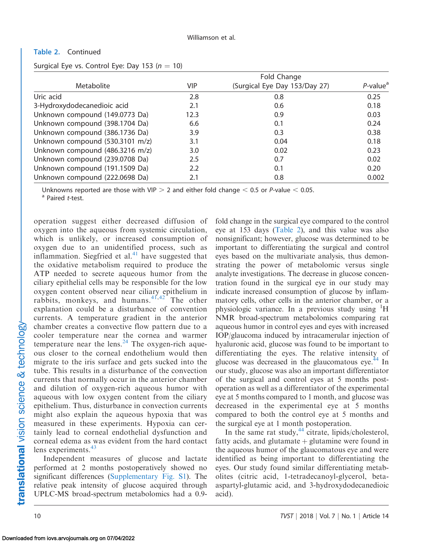#### Table 2. Continued

Surgical Eye vs. Control Eye: Day 153 ( $n = 10$ )

|                                 |            | Fold Change                   |                         |
|---------------------------------|------------|-------------------------------|-------------------------|
| Metabolite                      | <b>VIP</b> | (Surgical Eye Day 153/Day 27) | $P$ -value <sup>a</sup> |
| Uric acid                       | 2.8        | 0.8                           | 0.25                    |
| 3-Hydroxydodecanedioic acid     | 2.1        | 0.6                           | 0.18                    |
| Unknown compound (149.0773 Da)  | 12.3       | 0.9                           | 0.03                    |
| Unknown compound (398.1704 Da)  | 6.6        | 0.1                           | 0.24                    |
| Unknown compound (386.1736 Da)  | 3.9        | 0.3                           | 0.38                    |
| Unknown compound (530.3101 m/z) | 3.1        | 0.04                          | 0.18                    |
| Unknown compound (486.3216 m/z) | 3.0        | 0.02                          | 0.23                    |
| Unknown compound (239.0708 Da)  | 2.5        | 0.7                           | 0.02                    |
| Unknown compound (191.1509 Da)  | 2.2        | 0.1                           | 0.20                    |
| Unknown compound (222.0698 Da)  | 2.1        | 0.8                           | 0.002                   |

Unknowns reported are those with VIP  $>$  2 and either fold change  $<$  0.5 or P-value  $<$  0.05. a Paired t-test.

operation suggest either decreased diffusion of oxygen into the aqueous from systemic circulation, which is unlikely, or increased consumption of oxygen due to an unidentified process, such as inflammation. Siegfried et al.<sup>[41](#page-13-0)</sup> have suggested that the oxidative metabolism required to produce the ATP needed to secrete aqueous humor from the ciliary epithelial cells may be responsible for the low oxygen content observed near ciliary epithelium in rabbits, monkeys, and humans. $41,42$  The other explanation could be a disturbance of convention currents. A temperature gradient in the anterior chamber creates a convective flow pattern due to a cooler temperature near the cornea and warmer temperature near the lens.<sup>[24](#page-12-0)</sup> The oxygen-rich aqueous closer to the corneal endothelium would then migrate to the iris surface and gets sucked into the tube. This results in a disturbance of the convection currents that normally occur in the anterior chamber and dilution of oxygen-rich aqueous humor with aqueous with low oxygen content from the ciliary epithelium. Thus, disturbance in convection currents might also explain the aqueous hypoxia that was measured in these experiments. Hypoxia can certainly lead to corneal endothelial dysfunction and corneal edema as was evident from the hard contact lens experiments.<sup>[43](#page-13-0)</sup>

Independent measures of glucose and lactate performed at 2 months postoperatively showed no significant differences (Supplementary Fig. S1). The relative peak intensity of glucose acquired through UPLC-MS broad-spectrum metabolomics had a 0.9fold change in the surgical eye compared to the control eye at 153 days [\(Table 2](#page-8-0)), and this value was also nonsignificant; however, glucose was determined to be important to differentiating the surgical and control eyes based on the multivariate analysis, thus demonstrating the power of metabolomic versus single analyte investigations. The decrease in glucose concentration found in the surgical eye in our study may indicate increased consumption of glucose by inflammatory cells, other cells in the anterior chamber, or a physiologic variance. In a previous study using <sup>1</sup>H NMR broad-spectrum metabolomics comparing rat aqueous humor in control eyes and eyes with increased IOP/glaucoma induced by intracamerular injection of hyaluronic acid, glucose was found to be important to differentiating the eyes. The relative intensity of glucose was decreased in the glaucomatous eye. $^{44}$  In our study, glucose was also an important differentiator of the surgical and control eyes at 5 months postoperation as well as a differentiator of the experimental eye at 5 months compared to 1 month, and glucose was decreased in the experimental eye at 5 months compared to both the control eye at 5 months and the surgical eye at 1 month postoperation.

In the same rat study, $44$  citrate, lipids/cholesterol, fatty acids, and glutamate  $\phi$  glutamine were found in the aqueous humor of the glaucomatous eye and were identified as being important to differentiating the eyes. Our study found similar differentiating metabolites (citric acid, 1-tetradecanoyl-glycerol, betaaspartyl-glutamic acid, and 3-hydroxydodecanedioic acid).

Downloaded from iovs.arvojournals.org on 07/04/2022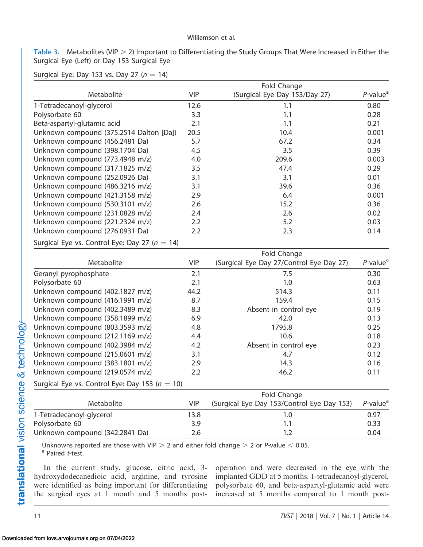#### Williamson et al.

<span id="page-10-0"></span>Table 3. Metabolites (VIP  $>$  2) Important to Differentiating the Study Groups That Were Increased in Either the Surgical Eye (Left) or Day 153 Surgical Eye

Surgical Eye: Day 153 vs. Day 27 ( $n = 14$ )

|                                                    | Fold Change |                                            |                         |
|----------------------------------------------------|-------------|--------------------------------------------|-------------------------|
| Metabolite                                         | <b>VIP</b>  | (Surgical Eye Day 153/Day 27)              | $P$ -value <sup>a</sup> |
| 1-Tetradecanoyl-glycerol                           | 12.6        | 1.1                                        | 0.80                    |
| Polysorbate 60                                     | 3.3         | 1.1                                        | 0.28                    |
| Beta-aspartyl-glutamic acid                        | 2.1         | 1.1                                        | 0.21                    |
| Unknown compound (375.2514 Dalton [Da])            | 20.5        | 10.4                                       | 0.001                   |
| Unknown compound (456.2481 Da)                     | 5.7         | 67.2                                       | 0.34                    |
| Unknown compound (398.1704 Da)                     | 4.5         | 3.5                                        | 0.39                    |
| Unknown compound (773.4948 m/z)                    | 4.0         | 209.6                                      | 0.003                   |
| Unknown compound (317.1825 m/z)                    | 3.5         | 47.4                                       | 0.29                    |
| Unknown compound (252.0926 Da)                     | 3.1         | 3.1                                        | 0.01                    |
| Unknown compound (486.3216 m/z)                    | 3.1         | 39.6                                       | 0.36                    |
| Unknown compound (421.3158 m/z)                    | 2.9         | 6.4                                        | 0.001                   |
| Unknown compound (530.3101 m/z)                    | 2.6         | 15.2                                       | 0.36                    |
| Unknown compound (231.0828 m/z)                    | 2.4         | 2.6                                        | 0.02                    |
| Unknown compound (221.2324 m/z)                    | 2.2         | 5.2                                        | 0.03                    |
| Unknown compound (276.0931 Da)                     | 2.2         | 2.3                                        | 0.14                    |
| Surgical Eye vs. Control Eye: Day 27 ( $n = 14$ )  |             |                                            |                         |
|                                                    |             | Fold Change                                |                         |
| Metabolite                                         | <b>VIP</b>  | (Surgical Eye Day 27/Control Eye Day 27)   | $P$ -value <sup>a</sup> |
| Geranyl pyrophosphate                              | 2.1         | 7.5                                        | 0.30                    |
| Polysorbate 60                                     | 2.1         | 1.0                                        | 0.63                    |
| Unknown compound (402.1827 m/z)                    | 44.2        | 514.3                                      | 0.11                    |
| Unknown compound (416.1991 m/z)                    | 8.7         | 159.4                                      | 0.15                    |
| Unknown compound (402.3489 m/z)                    | 8.3         | Absent in control eye                      | 0.19                    |
| Unknown compound (358.1899 m/z)                    | 6.9         | 42.0                                       | 0.13                    |
| Unknown compound (803.3593 m/z)                    | 4.8         | 1795.8                                     | 0.25                    |
| Unknown compound (212.1169 m/z)                    | 4.4         | 10.6                                       | 0.18                    |
| Unknown compound (402.3984 m/z)                    | 4.2         | Absent in control eye                      | 0.23                    |
| Unknown compound (215.0601 m/z)                    | 3.1         | 4.7                                        | 0.12                    |
| Unknown compound (383.1801 m/z)                    | 2.9         | 14.3                                       | 0.16                    |
| Unknown compound (219.0574 m/z)                    | 2.2         | 46.2                                       | 0.11                    |
| Surgical Eye vs. Control Eye: Day 153 ( $n = 10$ ) |             |                                            |                         |
|                                                    |             | Fold Change                                |                         |
| Metabolite                                         | <b>VIP</b>  | (Surgical Eye Day 153/Control Eye Day 153) | $P$ -value <sup>a</sup> |
| 1-Tetradecanoyl-glycerol                           | 13.8        | 1.0                                        | 0.97                    |
| Polysorbate 60                                     |             | 1.1                                        | 0.33                    |
| Unknown compound (342.2841 Da)                     | 2.6         | 1.2                                        | 0.04                    |

Unknowns reported are those with VIP  $>$  2 and either fold change  $>$  2 or P-value  $<$  0.05. a Paired t-test.

In the current study, glucose, citric acid, 3 hydroxydodecanedioic acid, arginine, and tyrosine were identified as being important for differentiating the surgical eyes at 1 month and 5 months postoperation and were decreased in the eye with the implanted GDD at 5 months. 1-tetradecanoyl-glycerol, polysorbate 60, and beta-aspartyl-glutamic acid were increased at 5 months compared to 1 month post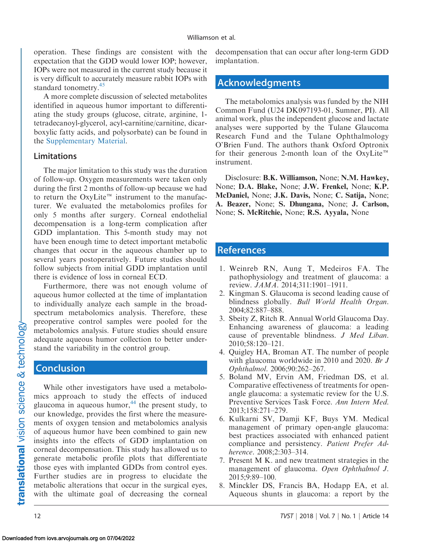<span id="page-11-0"></span>operation. These findings are consistent with the expectation that the GDD would lower IOP; however, IOPs were not measured in the current study because it is very difficult to accurately measure rabbit IOPs with standard tonometry.<sup>[45](#page-13-0)</sup>

A more complete discussion of selected metabolites identified in aqueous humor important to differentiating the study groups (glucose, citrate, arginine, 1 tetradecanoyl-glycerol, acyl-carnitine/carnitine, dicarboxylic fatty acids, and polysorbate) can be found in the Supplementary Material.

#### Limitations

The major limitation to this study was the duration of follow-up. Oxygen measurements were taken only during the first 2 months of follow-up because we had to return the OxyLite<sup> $m$ </sup> instrument to the manufacturer. We evaluated the metabolomics profiles for only 5 months after surgery. Corneal endothelial decompensation is a long-term complication after GDD implantation. This 5-month study may not have been enough time to detect important metabolic changes that occur in the aqueous chamber up to several years postoperatively. Future studies should follow subjects from initial GDD implantation until there is evidence of loss in corneal ECD.

Furthermore, there was not enough volume of aqueous humor collected at the time of implantation to individually analyze each sample in the broadspectrum metabolomics analysis. Therefore, these preoperative control samples were pooled for the metabolomics analysis. Future studies should ensure adequate aqueous humor collection to better understand the variability in the control group.

#### **Conclusion**

While other investigators have used a metabolomics approach to study the effects of induced glaucoma in aqueous humor, $44$  the present study, to our knowledge, provides the first where the measurements of oxygen tension and metabolomics analysis of aqueous humor have been combined to gain new insights into the effects of GDD implantation on corneal decompensation. This study has allowed us to generate metabolic profile plots that differentiate those eyes with implanted GDDs from control eyes. Further studies are in progress to elucidate the metabolic alterations that occur in the surgical eyes, with the ultimate goal of decreasing the corneal decompensation that can occur after long-term GDD implantation.

### Acknowledgments

The metabolomics analysis was funded by the NIH Common Fund (U24 DK097193-01, Sumner, PI). All animal work, plus the independent glucose and lactate analyses were supported by the Tulane Glaucoma Research Fund and the Tulane Ophthalmology O'Brien Fund. The authors thank Oxford Optronix for their generous 2-month loan of the OxyLite<sup>™</sup> instrument.

Disclosure: B.K. Williamson, None; N.M. Hawkey, None; D.A. Blake, None; J.W. Frenkel, None; K.P. McDaniel, None; J.K. Davis, None; C. Satija, None; A. Beazer, None; S. Dhungana, None; J. Carlson, None; S. McRitchie, None; R.S. Ayyala, None

## References

- 1. Weinreb RN, Aung T, Medeiros FA. The pathophysiology and treatment of glaucoma: a review. JAMA. 2014;311:1901–1911.
- 2. Kingman S. Glaucoma is second leading cause of blindness globally. Bull World Health Organ. 2004;82:887–888.
- 3. Sbeity Z, Ritch R. Annual World Glaucoma Day. Enhancing awareness of glaucoma: a leading cause of preventable blindness. J Med Liban. 2010;58:120–121.
- 4. Quigley HA, Broman AT. The number of people with glaucoma worldwide in 2010 and 2020. Br J Ophthalmol. 2006;90:262–267.
- 5. Boland MV, Ervin AM, Friedman DS, et al. Comparative effectiveness of treatments for openangle glaucoma: a systematic review for the U.S. Preventive Services Task Force. Ann Intern Med. 2013;158:271–279.
- 6. Kulkarni SV, Damji KF, Buys YM. Medical management of primary open-angle glaucoma: best practices associated with enhanced patient compliance and persistency. Patient Prefer Adherence. 2008;2:303–314.
- 7. Present M K. and new treatment strategies in the management of glaucoma. Open Ophthalmol J. 2015;9:89–100.
- 8. Minckler DS, Francis BA, Hodapp EA, et al. Aqueous shunts in glaucoma: a report by the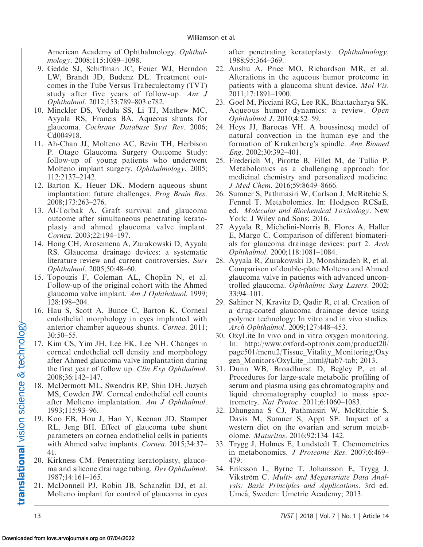<span id="page-12-0"></span>American Academy of Ophthalmology. Ophthalmology. 2008;115:1089–1098.

- 9. Gedde SJ, Schiffman JC, Feuer WJ, Herndon LW, Brandt JD, Budenz DL. Treatment outcomes in the Tube Versus Trabeculectomy (TVT) study after five years of follow-up.  $Am \, J$ Ophthalmol. 2012;153:789–803.e782.
- 10. Minckler DS, Vedula SS, Li TJ, Mathew MC, Ayyala RS, Francis BA. Aqueous shunts for glaucoma. Cochrane Database Syst Rev. 2006; Cd004918.
- 11. Ah-Chan JJ, Molteno AC, Bevin TH, Herbison P. Otago Glaucoma Surgery Outcome Study: follow-up of young patients who underwent Molteno implant surgery. Ophthalmology. 2005; 112:2137–2142.
- 12. Barton K, Heuer DK. Modern aqueous shunt implantation: future challenges. Prog Brain Res. 2008;173:263–276.
- 13. Al-Torbak A. Graft survival and glaucoma outcome after simultaneous penetrating keratoplasty and ahmed glaucoma valve implant. Cornea. 2003;22:194–197.
- 14. Hong CH, Arosemena A, Zurakowski D, Ayyala RS. Glaucoma drainage devices: a systematic literature review and current controversies. Surv Ophthalmol. 2005;50:48–60.
- 15. Topouzis F, Coleman AL, Choplin N, et al. Follow-up of the original cohort with the Ahmed glaucoma valve implant. Am J Ophthalmol. 1999; 128:198–204.
- 16. Hau S, Scott A, Bunce C, Barton K. Corneal endothelial morphology in eyes implanted with anterior chamber aqueous shunts. Cornea. 2011; 30:50–55.
- 17. Kim CS, Yim JH, Lee EK, Lee NH. Changes in corneal endothelial cell density and morphology after Ahmed glaucoma valve implantation during the first year of follow up. Clin Exp Ophthalmol. 2008;36:142–147.
- 18. McDermott ML, Swendris RP, Shin DH, Juzych MS, Cowden JW. Corneal endothelial cell counts after Molteno implantation. Am J Ophthalmol. 1993;115:93–96.
- 19. Koo EB, Hou J, Han Y, Keenan JD, Stamper RL, Jeng BH. Effect of glaucoma tube shunt parameters on cornea endothelial cells in patients with Ahmed valve implants. Cornea. 2015;34:37– 41.
- 20. Kirkness CM. Penetrating keratoplasty, glaucoma and silicone drainage tubing. Dev Ophthalmol. 1987;14:161–165.
- 21. McDonnell PJ, Robin JB, Schanzlin DJ, et al. Molteno implant for control of glaucoma in eyes

after penetrating keratoplasty. Ophthalmology. 1988;95:364–369.

- 22. Anshu A, Price MO, Richardson MR, et al. Alterations in the aqueous humor proteome in patients with a glaucoma shunt device. Mol Vis. 2011;17:1891–1900.
- 23. Goel M, Picciani RG, Lee RK, Bhattacharya SK. Aqueous humor dynamics: a review. Open Ophthalmol J. 2010;4:52–59.
- 24. Heys JJ, Barocas VH. A boussinesq model of natural convection in the human eye and the formation of Krukenberg's spindle. Ann Biomed Eng. 2002;30:392–401.
- 25. Frederich M, Pirotte B, Fillet M, de Tullio P. Metabolomics as a challenging approach for medicinal chemistry and personalized medicine. J Med Chem. 2016;59:8649–8666.
- 26. Sumner S, Pathmasiri W, Carlson J, McRitchie S, Fennel T. Metabolomics. In: Hodgson RCSaE, ed. Molecular and Biochemical Toxicology. New York: J Wiley and Sons; 2016.
- 27. Ayyala R, Michelini-Norris B, Flores A, Haller E, Margo C. Comparison of different biomaterials for glaucoma drainage devices: part 2. Arch Ophthalmol. 2000;118:1081–1084.
- 28. Ayyala R, Zurakowski D, Monshizadeh R, et al. Comparison of double-plate Molteno and Ahmed glaucoma valve in patients with advanced uncontrolled glaucoma. Ophthalmic Surg Lasers. 2002; 33:94–101.
- 29. Sahiner N, Kravitz D, Qadir R, et al. Creation of a drug-coated glaucoma drainage device using polymer technology: In vitro and in vivo studies. Arch Ophthalmol. 2009;127:448–453.
- 30. OxyLite In vivo and in vitro oxygen monitoring. In: http://www.oxford-optronix.com/product20/ page501/menu2/Tissue\_Vitality\_Monitoring/Oxy gen\_Monitors/OxyLite\_.html#tab7-tab; 2013.
- 31. Dunn WB, Broadhurst D, Begley P, et al. Procedures for large-scale metabolic profiling of serum and plasma using gas chromatography and liquid chromatography coupled to mass spectrometry. Nat Protoc. 2011;6:1060–1083.
- 32. Dhungana S CJ, Pathmasiri W, McRitchie S, Davis M, Sumner S, Appt SE. Impact of a western diet on the ovarian and serum metabolome. Maturitas. 2016;92:134–142.
- 33. Trygg J, Holmes E, Lundstedt T. Chemometrics in metabonomics. J Proteome Res. 2007;6:469– 479.
- 34. Eriksson L, Byrne T, Johansson E, Trygg J, Vikström C. Multi- and Megavariate Data Analysis: Basic Principles and Applications. 3rd ed. Umeå, Sweden: Umetric Academy; 2013.